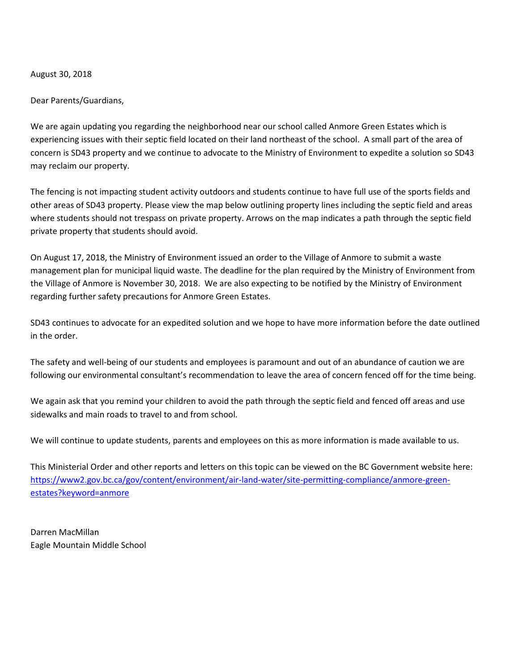## August 30, 2018

Dear Parents/Guardians,

We are again updating you regarding the neighborhood near our school called Anmore Green Estates which is experiencing issues with their septic field located on their land northeast of the school. A small part of the area of concern is SD43 property and we continue to advocate to the Ministry of Environment to expedite a solution so SD43 may reclaim our property.

The fencing is not impacting student activity outdoors and students continue to have full use of the sports fields and other areas of SD43 property. Please view the map below outlining property lines including the septic field and areas where students should not trespass on private property. Arrows on the map indicates a path through the septic field private property that students should avoid.

On August 17, 2018, the Ministry of Environment issued an order to the Village of Anmore to submit a waste management plan for municipal liquid waste. The deadline for the plan required by the Ministry of Environment from the Village of Anmore is November 30, 2018. We are also expecting to be notified by the Ministry of Environment regarding further safety precautions for Anmore Green Estates.

SD43 continues to advocate for an expedited solution and we hope to have more information before the date outlined in the order.

The safety and well-being of our students and employees is paramount and out of an abundance of caution we are following our environmental consultant's recommendation to leave the area of concern fenced off for the time being.

We again ask that you remind your children to avoid the path through the septic field and fenced off areas and use sidewalks and main roads to travel to and from school.

We will continue to update students, parents and employees on this as more information is made available to us.

This Ministerial Order and other reports and letters on this topic can be viewed on the BC Government website here: [https://www2.gov.bc.ca/gov/content/environment/air-land-water/site-permitting-compliance/anmore-green](https://www2.gov.bc.ca/gov/content/environment/air-land-water/site-permitting-compliance/anmore-green-estates?keyword=anmore)[estates?keyword=anmore](https://www2.gov.bc.ca/gov/content/environment/air-land-water/site-permitting-compliance/anmore-green-estates?keyword=anmore)

Darren MacMillan Eagle Mountain Middle School